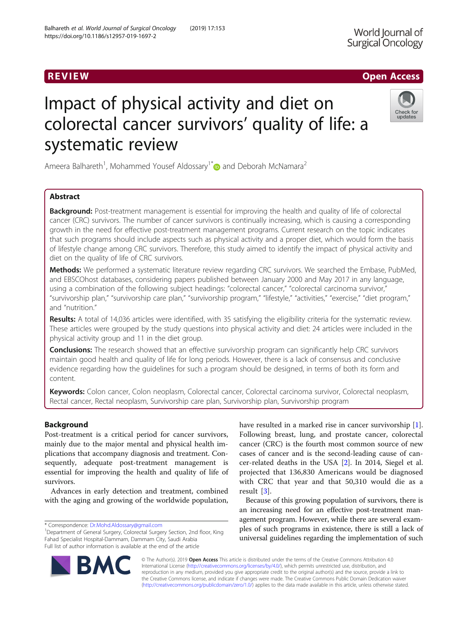# Impact of physical activity and diet on colorectal cancer survivors' quality of life: a systematic review

Ameera Balhareth<sup>1</sup>, Mohammed Yousef Aldossary<sup>1\*</sup> and Deborah McNamara<sup>2</sup>

# Abstract

Background: Post-treatment management is essential for improving the health and quality of life of colorectal cancer (CRC) survivors. The number of cancer survivors is continually increasing, which is causing a corresponding growth in the need for effective post-treatment management programs. Current research on the topic indicates that such programs should include aspects such as physical activity and a proper diet, which would form the basis of lifestyle change among CRC survivors. Therefore, this study aimed to identify the impact of physical activity and diet on the quality of life of CRC survivors.

Methods: We performed a systematic literature review regarding CRC survivors. We searched the Embase, PubMed, and EBSCOhost databases, considering papers published between January 2000 and May 2017 in any language, using a combination of the following subject headings: "colorectal cancer," "colorectal carcinoma survivor," "survivorship plan," "survivorship care plan," "survivorship program," "lifestyle," "activities," "exercise," "diet program," and "nutrition."

Results: A total of 14,036 articles were identified, with 35 satisfying the eligibility criteria for the systematic review. These articles were grouped by the study questions into physical activity and diet: 24 articles were included in the physical activity group and 11 in the diet group.

**Conclusions:** The research showed that an effective survivorship program can significantly help CRC survivors maintain good health and quality of life for long periods. However, there is a lack of consensus and conclusive evidence regarding how the guidelines for such a program should be designed, in terms of both its form and content.

Keywords: Colon cancer, Colon neoplasm, Colorectal cancer, Colorectal carcinoma survivor, Colorectal neoplasm, Rectal cancer, Rectal neoplasm, Survivorship care plan, Survivorship plan, Survivorship program

# Background

Post-treatment is a critical period for cancer survivors, mainly due to the major mental and physical health implications that accompany diagnosis and treatment. Consequently, adequate post-treatment management is essential for improving the health and quality of life of survivors.

Advances in early detection and treatment, combined with the aging and growing of the worldwide population,

\* Correspondence: [Dr.Mohd.Aldossary@gmail.com](mailto:Dr.Mohd.Aldossary@gmail.com) <sup>1</sup>

<sup>1</sup>Department of General Surgery, Colorectal Surgery Section, 2nd floor, King Fahad Specialist Hospital-Dammam, Dammam City, Saudi Arabia Full list of author information is available at the end of the article

> © The Author(s). 2019 **Open Access** This article is distributed under the terms of the Creative Commons Attribution 4.0 International License [\(http://creativecommons.org/licenses/by/4.0/](http://creativecommons.org/licenses/by/4.0/)), which permits unrestricted use, distribution, and reproduction in any medium, provided you give appropriate credit to the original author(s) and the source, provide a link to the Creative Commons license, and indicate if changes were made. The Creative Commons Public Domain Dedication waiver [\(http://creativecommons.org/publicdomain/zero/1.0/](http://creativecommons.org/publicdomain/zero/1.0/)) applies to the data made available in this article, unless otherwise stated.

have resulted in a marked rise in cancer survivorship [\[1](#page-9-0)]. Following breast, lung, and prostate cancer, colorectal cancer (CRC) is the fourth most common source of new cases of cancer and is the second-leading cause of cancer-related deaths in the USA [[2\]](#page-9-0). In 2014, Siegel et al. projected that 136,830 Americans would be diagnosed with CRC that year and that 50,310 would die as a result [\[3](#page-9-0)].

Because of this growing population of survivors, there is an increasing need for an effective post-treatment management program. However, while there are several examples of such programs in existence, there is still a lack of universal guidelines regarding the implementation of such





R EVI EW Open Access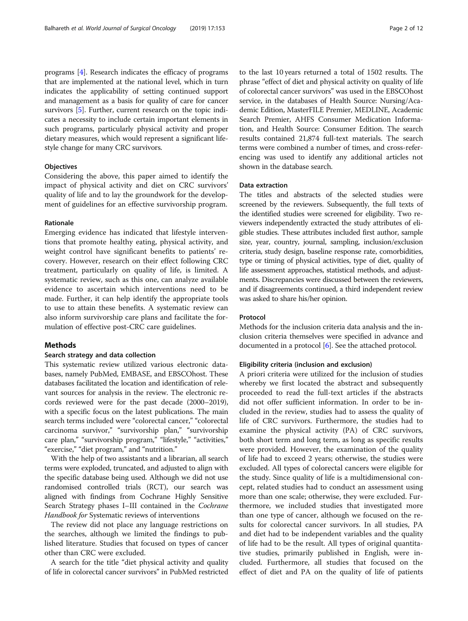programs [\[4](#page-9-0)]. Research indicates the efficacy of programs that are implemented at the national level, which in turn indicates the applicability of setting continued support and management as a basis for quality of care for cancer survivors [\[5](#page-9-0)]. Further, current research on the topic indicates a necessity to include certain important elements in such programs, particularly physical activity and proper dietary measures, which would represent a significant lifestyle change for many CRC survivors.

# **Objectives**

Considering the above, this paper aimed to identify the impact of physical activity and diet on CRC survivors' quality of life and to lay the groundwork for the development of guidelines for an effective survivorship program.

# Rationale

Emerging evidence has indicated that lifestyle interventions that promote healthy eating, physical activity, and weight control have significant benefits to patients' recovery. However, research on their effect following CRC treatment, particularly on quality of life, is limited. A systematic review, such as this one, can analyze available evidence to ascertain which interventions need to be made. Further, it can help identify the appropriate tools to use to attain these benefits. A systematic review can also inform survivorship care plans and facilitate the formulation of effective post-CRC care guidelines.

#### Methods

#### Search strategy and data collection

This systematic review utilized various electronic databases, namely PubMed, EMBASE, and EBSCOhost. These databases facilitated the location and identification of relevant sources for analysis in the review. The electronic records reviewed were for the past decade (2000–2019), with a specific focus on the latest publications. The main search terms included were "colorectal cancer," "colorectal carcinoma survivor," "survivorship plan," "survivorship care plan," "survivorship program," "lifestyle," "activities," "exercise," "diet program," and "nutrition."

With the help of two assistants and a librarian, all search terms were exploded, truncated, and adjusted to align with the specific database being used. Although we did not use randomised controlled trials (RCT), our search was aligned with findings from Cochrane Highly Sensitive Search Strategy phases I–III contained in the Cochrane Handbook for Systematic reviews of interventions

The review did not place any language restrictions on the searches, although we limited the findings to published literature. Studies that focused on types of cancer other than CRC were excluded.

A search for the title "diet physical activity and quality of life in colorectal cancer survivors" in PubMed restricted

to the last 10 years returned a total of 1502 results. The phrase "effect of diet and physical activity on quality of life of colorectal cancer survivors" was used in the EBSCOhost service, in the databases of Health Source: Nursing/Academic Edition, MasterFILE Premier, MEDLINE, Academic Search Premier, AHFS Consumer Medication Information, and Health Source: Consumer Edition. The search results contained 21,874 full-text materials. The search terms were combined a number of times, and cross-referencing was used to identify any additional articles not shown in the database search.

#### Data extraction

The titles and abstracts of the selected studies were screened by the reviewers. Subsequently, the full texts of the identified studies were screened for eligibility. Two reviewers independently extracted the study attributes of eligible studies. These attributes included first author, sample size, year, country, journal, sampling, inclusion/exclusion criteria, study design, baseline response rate, comorbidities, type or timing of physical activities, type of diet, quality of life assessment approaches, statistical methods, and adjustments. Discrepancies were discussed between the reviewers, and if disagreements continued, a third independent review was asked to share his/her opinion.

# Protocol

Methods for the inclusion criteria data analysis and the inclusion criteria themselves were specified in advance and documented in a protocol [\[6\]](#page-9-0). See the attached protocol.

# Eligibility criteria (inclusion and exclusion)

A priori criteria were utilized for the inclusion of studies whereby we first located the abstract and subsequently proceeded to read the full-text articles if the abstracts did not offer sufficient information. In order to be included in the review, studies had to assess the quality of life of CRC survivors. Furthermore, the studies had to examine the physical activity (PA) of CRC survivors, both short term and long term, as long as specific results were provided. However, the examination of the quality of life had to exceed 2 years; otherwise, the studies were excluded. All types of colorectal cancers were eligible for the study. Since quality of life is a multidimensional concept, related studies had to conduct an assessment using more than one scale; otherwise, they were excluded. Furthermore, we included studies that investigated more than one type of cancer, although we focused on the results for colorectal cancer survivors. In all studies, PA and diet had to be independent variables and the quality of life had to be the result. All types of original quantitative studies, primarily published in English, were included. Furthermore, all studies that focused on the effect of diet and PA on the quality of life of patients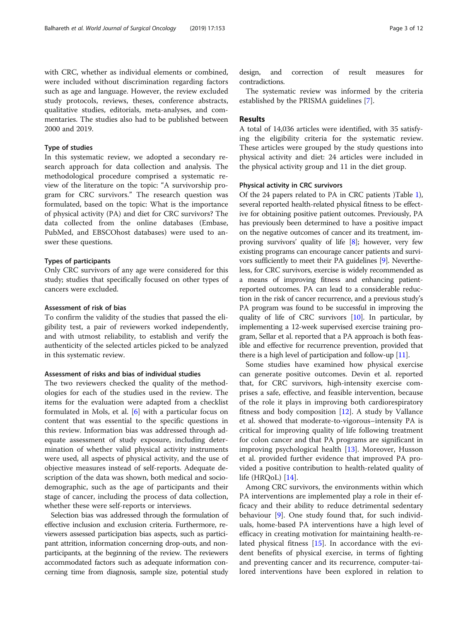with CRC, whether as individual elements or combined, were included without discrimination regarding factors such as age and language. However, the review excluded study protocols, reviews, theses, conference abstracts, qualitative studies, editorials, meta-analyses, and commentaries. The studies also had to be published between 2000 and 2019.

# Type of studies

In this systematic review, we adopted a secondary research approach for data collection and analysis. The methodological procedure comprised a systematic review of the literature on the topic: "A survivorship program for CRC survivors." The research question was formulated, based on the topic: What is the importance of physical activity (PA) and diet for CRC survivors? The data collected from the online databases (Embase, PubMed, and EBSCOhost databases) were used to answer these questions.

# Types of participants

Only CRC survivors of any age were considered for this study; studies that specifically focused on other types of cancers were excluded.

#### Assessment of risk of bias

To confirm the validity of the studies that passed the eligibility test, a pair of reviewers worked independently, and with utmost reliability, to establish and verify the authenticity of the selected articles picked to be analyzed in this systematic review.

#### Assessment of risks and bias of individual studies

The two reviewers checked the quality of the methodologies for each of the studies used in the review. The items for the evaluation were adapted from a checklist formulated in Mols, et al. [\[6](#page-9-0)] with a particular focus on content that was essential to the specific questions in this review. Information bias was addressed through adequate assessment of study exposure, including determination of whether valid physical activity instruments were used, all aspects of physical activity, and the use of objective measures instead of self-reports. Adequate description of the data was shown, both medical and sociodemographic, such as the age of participants and their stage of cancer, including the process of data collection, whether these were self-reports or interviews.

Selection bias was addressed through the formulation of effective inclusion and exclusion criteria. Furthermore, reviewers assessed participation bias aspects, such as participant attrition, information concerning drop-outs, and nonparticipants, at the beginning of the review. The reviewers accommodated factors such as adequate information concerning time from diagnosis, sample size, potential study

design, and correction of result measures for contradictions.

The systematic review was informed by the criteria established by the PRISMA guidelines [\[7](#page-9-0)].

# Results

A total of 14,036 articles were identified, with 35 satisfying the eligibility criteria for the systematic review. These articles were grouped by the study questions into physical activity and diet: 24 articles were included in the physical activity group and 11 in the diet group.

#### Physical activity in CRC survivors

Of the 24 papers related to PA in CRC patients )Table [1](#page-3-0)), several reported health-related physical fitness to be effective for obtaining positive patient outcomes. Previously, PA has previously been determined to have a positive impact on the negative outcomes of cancer and its treatment, improving survivors' quality of life [[8](#page-10-0)]; however, very few existing programs can encourage cancer patients and survivors sufficiently to meet their PA guidelines [\[9\]](#page-10-0). Nevertheless, for CRC survivors, exercise is widely recommended as a means of improving fitness and enhancing patientreported outcomes. PA can lead to a considerable reduction in the risk of cancer recurrence, and a previous study's PA program was found to be successful in improving the quality of life of CRC survivors [[10](#page-10-0)]. In particular, by implementing a 12-week supervised exercise training program, Sellar et al. reported that a PA approach is both feasible and effective for recurrence prevention, provided that there is a high level of participation and follow-up [\[11](#page-10-0)].

Some studies have examined how physical exercise can generate positive outcomes. Devin et al. reported that, for CRC survivors, high-intensity exercise comprises a safe, effective, and feasible intervention, because of the role it plays in improving both cardiorespiratory fitness and body composition  $[12]$  $[12]$ . A study by Vallance et al. showed that moderate-to-vigorous–intensity PA is critical for improving quality of life following treatment for colon cancer and that PA programs are significant in improving psychological health [[13\]](#page-10-0). Moreover, Husson et al. provided further evidence that improved PA provided a positive contribution to health-related quality of life  $(HROoL)$  [\[14](#page-10-0)].

Among CRC survivors, the environments within which PA interventions are implemented play a role in their efficacy and their ability to reduce detrimental sedentary behaviour [[9\]](#page-10-0). One study found that, for such individuals, home-based PA interventions have a high level of efficacy in creating motivation for maintaining health-related physical fitness [\[15\]](#page-10-0). In accordance with the evident benefits of physical exercise, in terms of fighting and preventing cancer and its recurrence, computer-tailored interventions have been explored in relation to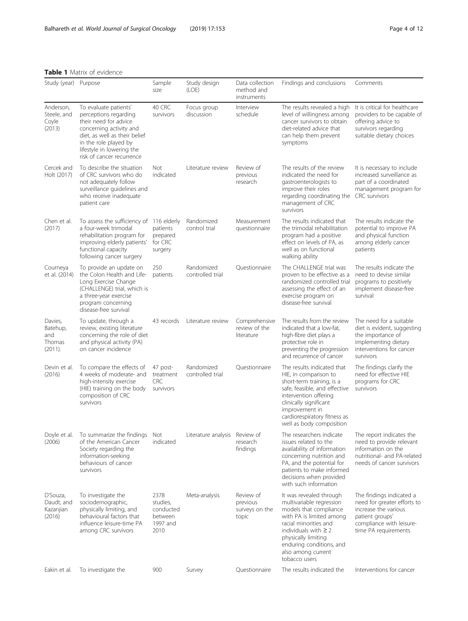<span id="page-3-0"></span>Table 1 Matrix of evidence

| Study (year) Purpose                            |                                                                                                                                                                                                                        | Sample<br>size                                               | Study design<br>(LOE)          | Data collection<br>method and<br>instruments     | Findings and conclusions                                                                                                                                                                                                                                  | Comments                                                                                                                                               |
|-------------------------------------------------|------------------------------------------------------------------------------------------------------------------------------------------------------------------------------------------------------------------------|--------------------------------------------------------------|--------------------------------|--------------------------------------------------|-----------------------------------------------------------------------------------------------------------------------------------------------------------------------------------------------------------------------------------------------------------|--------------------------------------------------------------------------------------------------------------------------------------------------------|
| Anderson,<br>Steele, and<br>Coyle<br>(2013)     | To evaluate patients'<br>perceptions regarding<br>their need for advice<br>concerning activity and<br>diet, as well as their belief<br>in the role played by<br>lifestyle in lowering the<br>risk of cancer recurrence | 40 CRC<br>survivors                                          | Focus group<br>discussion      | Interview<br>schedule                            | The results revealed a high<br>level of willingness among<br>cancer survivors to obtain<br>diet-related advice that<br>can help them prevent<br>symptoms                                                                                                  | It is critical for healthcare<br>providers to be capable of<br>offering advice to<br>survivors regarding<br>suitable dietary choices                   |
| Cercek and<br>Holt (2017)                       | To describe the situation<br>of CRC survivors who do<br>not adequately follow<br>surveillance guidelines and<br>who receive inadequate<br>patient care                                                                 | <b>Not</b><br>indicated                                      | Literature review              | Review of<br>previous<br>research                | The results of the review<br>indicated the need for<br>gastroenterologists to<br>improve their roles<br>regarding coordinating the<br>management of CRC<br>survivors                                                                                      | It is necessary to include<br>increased surveillance as<br>part of a coordinated<br>management program for<br><b>CRC</b> survivors                     |
| Chen et al.<br>(2017)                           | To assess the sufficiency of 116 elderly<br>a four-week trimodal<br>rehabilitation program for<br>improving elderly patients'<br>functional capacity<br>following cancer surgery                                       | patients<br>prepared<br>for CRC<br>surgery                   | Randomized<br>control trial    | Measurement<br>questionnaire                     | The results indicated that<br>the trimodal rehabilitation<br>program had a positive<br>effect on levels of PA, as<br>well as on functional<br>walking ability                                                                                             | The results indicate the<br>potential to improve PA<br>and physical function<br>among elderly cancer<br>patients                                       |
| Courneya<br>et al. (2014)                       | To provide an update on<br>the Colon Health and Life-<br>Long Exercise Change<br>(CHALLENGE) trial, which is<br>a three-year exercise<br>program concerning<br>disease-free survival                                   | 250<br>patients                                              | Randomized<br>controlled trial | Questionnaire                                    | The CHALLENGE trial was<br>proven to be effective as a<br>randomized controlled trial<br>assessing the effect of an<br>exercise program on<br>disease-free survival                                                                                       | The results indicate the<br>need to devise similar<br>programs to positively<br>implement disease-free<br>survival                                     |
| Davies,<br>Batehup,<br>and<br>Thomas<br>(2011). | To update, through a<br>review, existing literature<br>concerning the role of diet<br>and physical activity (PA)<br>on cancer incidence                                                                                | 43 records                                                   | Literature review              | Comprehensive<br>review of the<br>literature     | The results from the review<br>indicated that a low-fat,<br>high-fibre diet plays a<br>protective role in<br>preventing the progression<br>and recurrence of cancer                                                                                       | The need for a suitable<br>diet is evident, suggesting<br>the importance of<br>implementing dietary<br>interventions for cancer<br>survivors           |
| Devin et al.<br>(2016)                          | To compare the effects of<br>4 weeks of moderate- and<br>high-intensity exercise<br>(HIE) training on the body<br>composition of CRC<br>survivors                                                                      | 47 post-<br>treatment<br><b>CRC</b><br>survivors             | Randomized<br>controlled trial | Questionnaire                                    | The results indicated that<br>HIE, in comparison to<br>short-term training, is a<br>safe, feasible, and effective<br>intervention offering<br>clinically significant<br>improvement in<br>cardiorespiratory fitness as<br>well as body composition        | The findings clarify the<br>need for effective HIE<br>programs for CRC<br>survivors                                                                    |
| Doyle et al.<br>(2006)                          | To summarize the findings<br>of the American Cancer<br>Society regarding the<br>information-seeking<br>behaviours of cancer<br>survivors                                                                               | Not<br>indicated                                             | Literature analysis            | Review of<br>research<br>findings                | The researchers indicate<br>issues related to the<br>availability of information<br>concerning nutrition and<br>PA, and the potential for<br>patients to make informed<br>decisions when provided<br>with such information                                | The report indicates the<br>need to provide relevant<br>information on the<br>nutritional- and PA-related<br>needs of cancer survivors                 |
| D'Souza,<br>Daudt, and<br>Kazanjian<br>(2016)   | To investigate the<br>sociodemographic,<br>physically limiting, and<br>behavioural factors that<br>influence leisure-time PA<br>among CRC survivors                                                                    | 2378<br>studies.<br>conducted<br>between<br>1997 and<br>2010 | Meta-analysis                  | Review of<br>previous<br>surveys on the<br>topic | It was revealed through<br>multivariable regression<br>models that compliance<br>with PA is limited among<br>racial minorities and<br>individuals with $\geq$ 2<br>physically limiting<br>enduring conditions, and<br>also among current<br>tobacco users | The findings indicated a<br>need for greater efforts to<br>increase the various<br>patient groups'<br>compliance with leisure-<br>time PA requirements |
| Eakin et al.                                    | To investigate the                                                                                                                                                                                                     | 900                                                          | Survey                         | Questionnaire                                    | The results indicated the                                                                                                                                                                                                                                 | Interventions for cancer                                                                                                                               |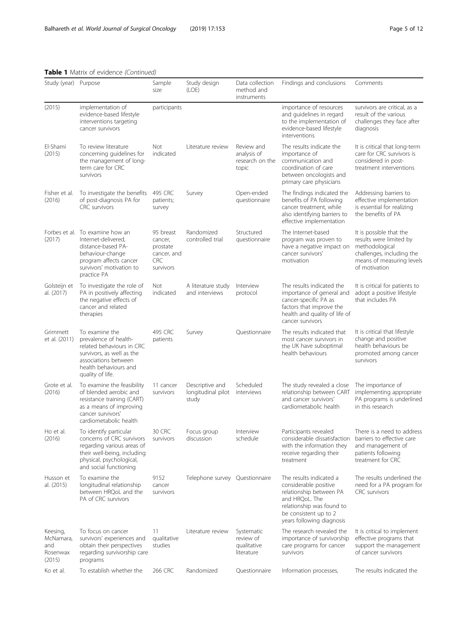Table 1 Matrix of evidence (Continued)

| Study (year) Purpose                               |                                                                                                                                                                        | Sample<br>size                                                             | Study design<br>(LOE)                          | Data collection<br>method and<br>instruments          | Findings and conclusions                                                                                                                                                         | Comments                                                                                                                                        |
|----------------------------------------------------|------------------------------------------------------------------------------------------------------------------------------------------------------------------------|----------------------------------------------------------------------------|------------------------------------------------|-------------------------------------------------------|----------------------------------------------------------------------------------------------------------------------------------------------------------------------------------|-------------------------------------------------------------------------------------------------------------------------------------------------|
| (2015)                                             | implementation of<br>evidence-based lifestyle<br>interventions targeting<br>cancer survivors                                                                           | participants                                                               |                                                |                                                       | importance of resources<br>and guidelines in regard<br>to the implementation of<br>evidence-based lifestyle<br>interventions                                                     | survivors are critical, as a<br>result of the various<br>challenges they face after<br>diagnosis                                                |
| El-Shami<br>(2015)                                 | To review literature<br>concerning guidelines for<br>the management of long-<br>term care for CRC<br>survivors                                                         | Not<br>indicated                                                           | Literature review                              | Review and<br>analysis of<br>research on the<br>topic | The results indicate the<br>importance of<br>communication and<br>coordination of care<br>between oncologists and<br>primary care physicians                                     | It is critical that long-term<br>care for CRC survivors is<br>considered in post-<br>treatment interventions                                    |
| Fisher et al.<br>(2016)                            | To investigate the benefits<br>of post-diagnosis PA for<br><b>CRC</b> survivors                                                                                        | 495 CRC<br>patients;<br>survey                                             | Survey                                         | Open-ended<br>questionnaire                           | The findings indicated the<br>benefits of PA following<br>cancer treatment, while<br>also identifying barriers to<br>effective implementation                                    | Addressing barriers to<br>effective implementation<br>is essential for realizing<br>the benefits of PA                                          |
| (2017)                                             | Forbes et al. To examine how an<br>Internet-delivered.<br>distance-based PA-<br>behaviour-change<br>program affects cancer<br>survivors' motivation to<br>practice PA  | 95 breast<br>cancer,<br>prostate<br>cancer, and<br><b>CRC</b><br>survivors | Randomized<br>controlled trial                 | Structured<br>questionnaire                           | The Internet-based<br>program was proven to<br>have a negative impact on<br>cancer survivors'<br>motivation                                                                      | It is possible that the<br>results were limited by<br>methodological<br>challenges, including the<br>means of measuring levels<br>of motivation |
| Golsteijn et<br>al. (2017)                         | To investigate the role of<br>PA in positively affecting<br>the negative effects of<br>cancer and related<br>therapies                                                 | Not<br>indicated                                                           | A literature study<br>and interviews           | Interview<br>protocol                                 | The results indicated the<br>importance of general and<br>cancer-specific PA as<br>factors that improve the<br>health and quality of life of<br>cancer survivors                 | It is critical for patients to<br>adopt a positive lifestyle<br>that includes PA                                                                |
| Grimmett<br>et al. (2011)                          | To examine the<br>prevalence of health-<br>related behaviours in CRC<br>survivors, as well as the<br>associations between<br>health behaviours and<br>quality of life. | 495 CRC<br>patients                                                        | Survey                                         | Questionnaire                                         | The results indicated that<br>most cancer survivors in<br>the UK have suboptimal<br>health behaviours                                                                            | It is critical that lifestyle<br>change and positive<br>health behaviours be<br>promoted among cancer<br>survivors                              |
| Grote et al.<br>(2016)                             | To examine the feasibility<br>of blended aerobic and<br>resistance training (CART)<br>as a means of improving<br>cancer survivors'<br>cardiometabolic health           | 11 cancer<br>survivors                                                     | Descriptive and<br>longitudinal pilot<br>study | Scheduled<br>interviews                               | The study revealed a close<br>relationship between CART<br>and cancer survivors'<br>cardiometabolic health                                                                       | The importance of<br>implementing appropriate<br>PA programs is underlined<br>in this research                                                  |
| Ho et al.<br>(2016)                                | To identify particular<br>concerns of CRC survivors<br>regarding various areas of<br>their well-being, including<br>physical, psychological,<br>and social functioning | 30 CRC<br>survivors                                                        | Focus group<br>discussion                      | Interview<br>schedule                                 | Participants revealed<br>considerable dissatisfaction<br>with the information they<br>receive regarding their<br>treatment                                                       | There is a need to address<br>barriers to effective care<br>and management of<br>patients following<br>treatment for CRC                        |
| Husson et<br>al. (2015)                            | To examine the<br>longitudinal relationship<br>between HRQoL and the<br>PA of CRC survivors                                                                            | 9152<br>cancer<br>survivors                                                | Telephone survey Questionnaire                 |                                                       | The results indicated a<br>considerable positive<br>relationship between PA<br>and HRQoL. The<br>relationship was found to<br>be consistent up to 2<br>years following diagnosis | The results underlined the<br>need for a PA program for<br><b>CRC</b> survivors                                                                 |
| Keesing,<br>McNamara,<br>and<br>Rosenwax<br>(2015) | To focus on cancer<br>survivors' experiences and<br>obtain their perspectives<br>regarding survivorship care<br>programs                                               | 11<br>qualitative<br>studies                                               | Literature review                              | Systematic<br>review of<br>qualitative<br>literature  | The research revealed the<br>importance of survivorship<br>care programs for cancer<br>survivors                                                                                 | It is critical to implement<br>effective programs that<br>support the management<br>of cancer survivors                                         |
| Ko et al.                                          | To establish whether the                                                                                                                                               | 266 CRC                                                                    | Randomized                                     | Questionnaire                                         | Information processes,                                                                                                                                                           | The results indicated the                                                                                                                       |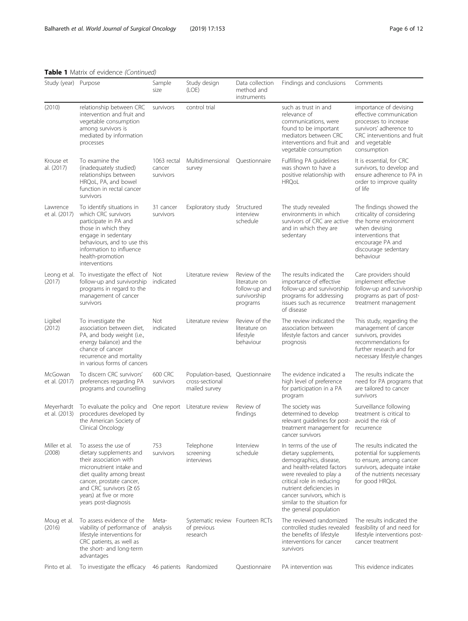Table 1 Matrix of evidence (Continued)

| Study (year)                | Purpose                                                                                                                                                                                                                                           | Sample<br>size                     | Study design<br>(LOE)                                               | Data collection<br>method and<br>instruments                                | Findings and conclusions                                                                                                                                                                                                                                                           | Comments                                                                                                                                                                      |
|-----------------------------|---------------------------------------------------------------------------------------------------------------------------------------------------------------------------------------------------------------------------------------------------|------------------------------------|---------------------------------------------------------------------|-----------------------------------------------------------------------------|------------------------------------------------------------------------------------------------------------------------------------------------------------------------------------------------------------------------------------------------------------------------------------|-------------------------------------------------------------------------------------------------------------------------------------------------------------------------------|
| (2010)                      | relationship between CRC<br>intervention and fruit and<br>vegetable consumption<br>among survivors is<br>mediated by information<br>processes                                                                                                     | survivors                          | control trial                                                       |                                                                             | such as trust in and<br>relevance of<br>communications, were<br>found to be important<br>mediators between CRC<br>interventions and fruit and<br>vegetable consumption                                                                                                             | importance of devising<br>effective communication<br>processes to increase<br>survivors' adherence to<br>CRC interventions and fruit<br>and vegetable<br>consumption          |
| Krouse et<br>al. (2017)     | To examine the<br>(inadequately studied)<br>relationships between<br>HRQoL, PA, and bowel<br>function in rectal cancer<br>survivors                                                                                                               | 1063 rectal<br>cancer<br>survivors | Multidimensional<br>survey                                          | Questionnaire                                                               | Fulfilling PA guidelines<br>was shown to have a<br>positive relationship with<br><b>HRQoL</b>                                                                                                                                                                                      | It is essential, for CRC<br>survivors, to develop and<br>ensure adherence to PA in<br>order to improve quality<br>of life                                                     |
| Lawrence<br>et al. (2017)   | To identify situations in<br>which CRC survivors<br>participate in PA and<br>those in which they<br>engage in sedentary<br>behaviours, and to use this<br>information to influence<br>health-promotion<br>interventions                           | 31 cancer<br>survivors             | Exploratory study                                                   | Structured<br>interview<br>schedule                                         | The study revealed<br>environments in which<br>survivors of CRC are active<br>and in which they are<br>sedentary                                                                                                                                                                   | The findings showed the<br>criticality of considering<br>the home environment<br>when devising<br>interventions that<br>encourage PA and<br>discourage sedentary<br>behaviour |
| Leong et al.<br>(2017)      | To investigate the effect of Not<br>follow-up and survivorship<br>programs in regard to the<br>management of cancer<br>survivors                                                                                                                  | indicated                          | Literature review                                                   | Review of the<br>literature on<br>follow-up and<br>survivorship<br>programs | The results indicated the<br>importance of effective<br>follow-up and survivorship<br>programs for addressing<br>issues such as recurrence<br>of disease                                                                                                                           | Care providers should<br>implement effective<br>follow-up and survivorship<br>programs as part of post-<br>treatment management                                               |
| Ligibel<br>(2012)           | To investigate the<br>association between diet,<br>PA, and body weight (i.e.,<br>energy balance) and the<br>chance of cancer<br>recurrence and mortality<br>in various forms of cancers                                                           | Not<br>indicated                   | Literature review                                                   | Review of the<br>literature on<br>lifestyle<br>behaviour                    | The review indicated the<br>association between<br>lifestyle factors and cancer<br>prognosis                                                                                                                                                                                       | This study, regarding the<br>management of cancer<br>survivors, provides<br>recommendations for<br>further research and for<br>necessary lifestyle changes                    |
| McGowan<br>et al. (2017)    | To discern CRC survivors'<br>preferences regarding PA<br>programs and counselling                                                                                                                                                                 | 600 CRC<br>survivors               | Population-based, Questionnaire<br>cross-sectional<br>mailed survey |                                                                             | The evidence indicated a<br>high level of preference<br>for participation in a PA<br>program                                                                                                                                                                                       | The results indicate the<br>need for PA programs that<br>are tailored to cancer<br>survivors                                                                                  |
| Meyerhardt<br>et al. (2013) | To evaluate the policy and<br>procedures developed by<br>the American Society of<br>Clinical Oncology                                                                                                                                             |                                    | One report Literature review                                        | Review of<br>findings                                                       | The society was<br>determined to develop<br>relevant guidelines for post- avoid the risk of<br>treatment management for<br>cancer survivors                                                                                                                                        | Surveillance following<br>treatment is critical to<br>recurrence                                                                                                              |
| Miller et al.<br>(2008)     | To assess the use of<br>dietary supplements and<br>their association with<br>micronutrient intake and<br>diet quality among breast<br>cancer, prostate cancer,<br>and CRC survivors ( $\geq 65$<br>years) at five or more<br>years post-diagnosis | 753<br>survivors                   | Telephone<br>screening<br>interviews                                | Interview<br>schedule                                                       | In terms of the use of<br>dietary supplements,<br>demographics, disease,<br>and health-related factors<br>were revealed to play a<br>critical role in reducing<br>nutrient deficiencies in<br>cancer survivors, which is<br>similar to the situation for<br>the general population | The results indicated the<br>potential for supplements<br>to ensure, among cancer<br>survivors, adequate intake<br>of the nutrients necessary<br>for good HRQoL               |
| Moug et al.<br>(2016)       | To assess evidence of the<br>viability of performance of<br>lifestyle interventions for<br>CRC patients, as well as<br>the short- and long-term<br>advantages                                                                                     | Meta-<br>analysis                  | Systematic review Fourteen RCTs<br>of previous<br>research          |                                                                             | The reviewed randomized<br>controlled studies revealed<br>the benefits of lifestyle<br>interventions for cancer<br>survivors                                                                                                                                                       | The results indicated the<br>feasibility of and need for<br>lifestyle interventions post-<br>cancer treatment                                                                 |
| Pinto et al.                | To investigate the efficacy                                                                                                                                                                                                                       |                                    | 46 patients Randomized                                              | Questionnaire                                                               | PA intervention was                                                                                                                                                                                                                                                                | This evidence indicates                                                                                                                                                       |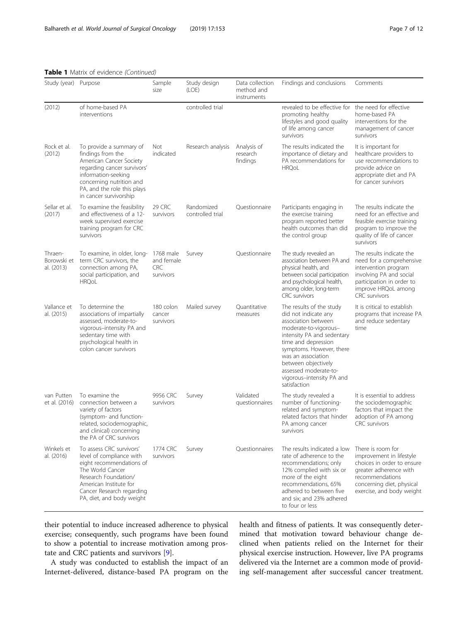| Study (year) Purpose                 |                                                                                                                                                                                                                    | Sample<br>size                                     | Study design<br>(LOE)          | Data collection<br>method and<br>instruments | Findings and conclusions                                                                                                                                                                                                                                                                             | Comments                                                                                                                                                                            |
|--------------------------------------|--------------------------------------------------------------------------------------------------------------------------------------------------------------------------------------------------------------------|----------------------------------------------------|--------------------------------|----------------------------------------------|------------------------------------------------------------------------------------------------------------------------------------------------------------------------------------------------------------------------------------------------------------------------------------------------------|-------------------------------------------------------------------------------------------------------------------------------------------------------------------------------------|
| (2012)                               | of home-based PA<br>interventions                                                                                                                                                                                  |                                                    | controlled trial               |                                              | revealed to be effective for the need for effective<br>promoting healthy<br>lifestyles and good quality<br>of life among cancer<br>survivors                                                                                                                                                         | home-based PA<br>interventions for the<br>management of cancer<br>survivors                                                                                                         |
| Rock et al.<br>(2012)                | To provide a summary of<br>findings from the<br>American Cancer Society<br>regarding cancer survivors'<br>information-seeking<br>concerning nutrition and<br>PA, and the role this plays<br>in cancer survivorship | Not<br>indicated                                   | Research analysis              | Analysis of<br>research<br>findings          | The results indicated the<br>importance of dietary and<br>PA recommendations for<br><b>HRQoL</b>                                                                                                                                                                                                     | It is important for<br>healthcare providers to<br>use recommendations to<br>provide advice on<br>appropriate diet and PA<br>for cancer survivors                                    |
| Sellar et al.<br>(2017)              | To examine the feasibility<br>and effectiveness of a 12-<br>week supervised exercise<br>training program for CRC<br>survivors                                                                                      | 29 CRC<br>survivors                                | Randomized<br>controlled trial | Questionnaire                                | Participants engaging in<br>the exercise training<br>program reported better<br>health outcomes than did<br>the control group                                                                                                                                                                        | The results indicate the<br>need for an effective and<br>feasible exercise training<br>program to improve the<br>quality of life of cancer<br>survivors                             |
| Thraen-<br>Borowski et<br>al. (2013) | To examine, in older, long-<br>term CRC survivors, the<br>connection among PA,<br>social participation, and<br><b>HRQoL</b>                                                                                        | 1768 male<br>and female<br><b>CRC</b><br>survivors | Survey                         | Questionnaire                                | The study revealed an<br>association between PA and<br>physical health, and<br>between social participation<br>and psychological health,<br>among older, long-term<br><b>CRC</b> survivors                                                                                                           | The results indicate the<br>need for a comprehensive<br>intervention program<br>involving PA and social<br>participation in order to<br>improve HRQoL among<br><b>CRC</b> survivors |
| Vallance et<br>al. (2015)            | To determine the<br>associations of impartially<br>assessed, moderate-to-<br>vigorous-intensity PA and<br>sedentary time with<br>psychological health in<br>colon cancer survivors                                 | 180 colon<br>cancer<br>survivors                   | Mailed survey                  | Quantitative<br>measures                     | The results of the study<br>did not indicate any<br>association between<br>moderate-to-vigorous-<br>intensity PA and sedentary<br>time and depression<br>symptoms. However, there<br>was an association<br>between objectively<br>assessed moderate-to-<br>vigorous-intensity PA and<br>satisfaction | It is critical to establish<br>programs that increase PA<br>and reduce sedentary<br>time                                                                                            |
| van Putten<br>et al. (2016)          | To examine the<br>connection between a<br>variety of factors<br>(symptom- and function-<br>related, sociodemographic,<br>and clinical) concerning<br>the PA of CRC survivors                                       | 9956 CRC<br>survivors                              | Survey                         | Validated<br>questionnaires                  | The study revealed a<br>number of functioning-<br>related and symptom-<br>related factors that hinder<br>PA among cancer<br>survivors                                                                                                                                                                | It is essential to address<br>the sociodemographic<br>factors that impact the<br>adoption of PA among<br>CRC survivors                                                              |
| Winkels et<br>al. (2016)             | To assess CRC survivors'<br>level of compliance with<br>eight recommendations of<br>The World Cancer<br>Research Foundation/<br>American Institute for<br>Cancer Research regarding<br>PA, diet, and body weight   | 1774 CRC<br>survivors                              | Survey                         | Questionnaires                               | The results indicated a low<br>rate of adherence to the<br>recommendations; only<br>12% complied with six or<br>more of the eight<br>recommendations, 65%<br>adhered to between five<br>and six; and 23% adhered<br>to four or less                                                                  | There is room for<br>improvement in lifestyle<br>choices in order to ensure<br>greater adherence with<br>recommendations<br>concerning diet, physical<br>exercise, and body weight  |

Table 1 Matrix of evidence (Continued)

their potential to induce increased adherence to physical exercise; consequently, such programs have been found to show a potential to increase motivation among prostate and CRC patients and survivors [\[9\]](#page-10-0).

A study was conducted to establish the impact of an Internet-delivered, distance-based PA program on the health and fitness of patients. It was consequently determined that motivation toward behaviour change declined when patients relied on the Internet for their physical exercise instruction. However, live PA programs delivered via the Internet are a common mode of providing self-management after successful cancer treatment.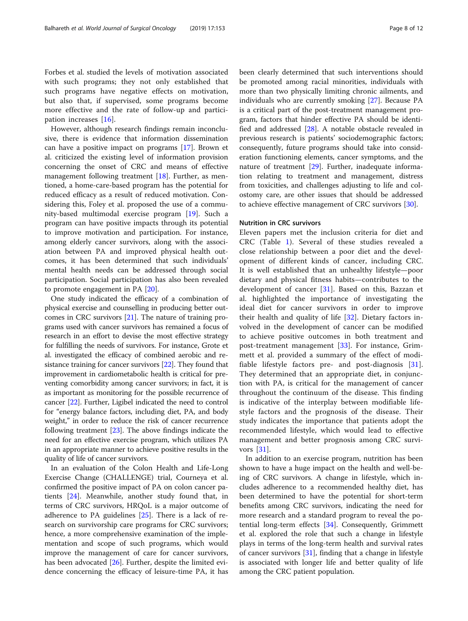Forbes et al. studied the levels of motivation associated with such programs; they not only established that such programs have negative effects on motivation, but also that, if supervised, some programs become more effective and the rate of follow-up and participation increases [[16\]](#page-10-0).

However, although research findings remain inconclusive, there is evidence that information dissemination can have a positive impact on programs [\[17\]](#page-10-0). Brown et al. criticized the existing level of information provision concerning the onset of CRC and means of effective management following treatment  $[18]$  $[18]$  $[18]$ . Further, as mentioned, a home-care-based program has the potential for reduced efficacy as a result of reduced motivation. Considering this, Foley et al. proposed the use of a community-based multimodal exercise program [\[19](#page-10-0)]. Such a program can have positive impacts through its potential to improve motivation and participation. For instance, among elderly cancer survivors, along with the association between PA and improved physical health outcomes, it has been determined that such individuals' mental health needs can be addressed through social participation. Social participation has also been revealed to promote engagement in PA [\[20](#page-10-0)].

One study indicated the efficacy of a combination of physical exercise and counselling in producing better outcomes in CRC survivors [\[21\]](#page-10-0). The nature of training programs used with cancer survivors has remained a focus of research in an effort to devise the most effective strategy for fulfilling the needs of survivors. For instance, Grote et al. investigated the efficacy of combined aerobic and resistance training for cancer survivors [[22](#page-10-0)]. They found that improvement in cardiometabolic health is critical for preventing comorbidity among cancer survivors; in fact, it is as important as monitoring for the possible recurrence of cancer [\[22\]](#page-10-0). Further, Ligibel indicated the need to control for "energy balance factors, including diet, PA, and body weight," in order to reduce the risk of cancer recurrence following treatment [\[23\]](#page-10-0). The above findings indicate the need for an effective exercise program, which utilizes PA in an appropriate manner to achieve positive results in the quality of life of cancer survivors.

In an evaluation of the Colon Health and Life-Long Exercise Change (CHALLENGE) trial, Courneya et al. confirmed the positive impact of PA on colon cancer patients [\[24](#page-10-0)]. Meanwhile, another study found that, in terms of CRC survivors, HRQoL is a major outcome of adherence to PA guidelines [[25](#page-10-0)]. There is a lack of research on survivorship care programs for CRC survivors; hence, a more comprehensive examination of the implementation and scope of such programs, which would improve the management of care for cancer survivors, has been advocated [\[26](#page-10-0)]. Further, despite the limited evidence concerning the efficacy of leisure-time PA, it has been clearly determined that such interventions should be promoted among racial minorities, individuals with more than two physically limiting chronic ailments, and individuals who are currently smoking [\[27](#page-10-0)]. Because PA is a critical part of the post-treatment management program, factors that hinder effective PA should be identified and addressed [[28\]](#page-10-0). A notable obstacle revealed in previous research is patients' sociodemographic factors; consequently, future programs should take into consideration functioning elements, cancer symptoms, and the nature of treatment [\[29](#page-10-0)]. Further, inadequate information relating to treatment and management, distress from toxicities, and challenges adjusting to life and colostomy care, are other issues that should be addressed to achieve effective management of CRC survivors [\[30\]](#page-10-0).

# Nutrition in CRC survivors

Eleven papers met the inclusion criteria for diet and CRC (Table [1\)](#page-3-0). Several of these studies revealed a close relationship between a poor diet and the development of different kinds of cancer, including CRC. It is well established that an unhealthy lifestyle—poor dietary and physical fitness habits—contributes to the development of cancer [[31\]](#page-10-0). Based on this, Bazzan et al. highlighted the importance of investigating the ideal diet for cancer survivors in order to improve their health and quality of life [\[32](#page-10-0)]. Dietary factors involved in the development of cancer can be modified to achieve positive outcomes in both treatment and post-treatment management [[33\]](#page-10-0). For instance, Grimmett et al. provided a summary of the effect of modifiable lifestyle factors pre- and post-diagnosis [\[31](#page-10-0)]. They determined that an appropriate diet, in conjunction with PA, is critical for the management of cancer throughout the continuum of the disease. This finding is indicative of the interplay between modifiable lifestyle factors and the prognosis of the disease. Their study indicates the importance that patients adopt the recommended lifestyle, which would lead to effective management and better prognosis among CRC survivors [\[31](#page-10-0)].

In addition to an exercise program, nutrition has been shown to have a huge impact on the health and well-being of CRC survivors. A change in lifestyle, which includes adherence to a recommended healthy diet, has been determined to have the potential for short-term benefits among CRC survivors, indicating the need for more research and a standard program to reveal the potential long-term effects [[34\]](#page-10-0). Consequently, Grimmett et al. explored the role that such a change in lifestyle plays in terms of the long-term health and survival rates of cancer survivors [[31](#page-10-0)], finding that a change in lifestyle is associated with longer life and better quality of life among the CRC patient population.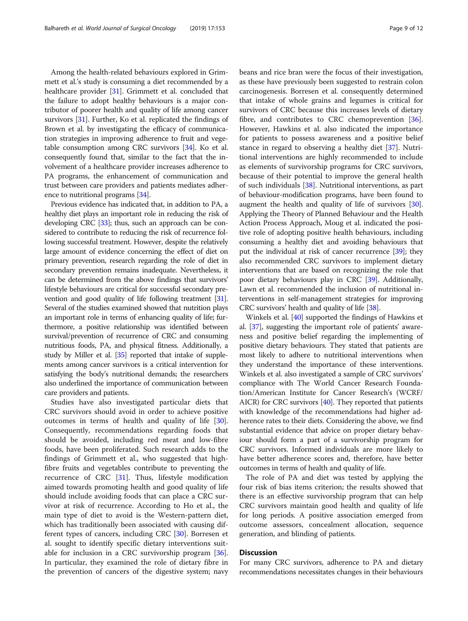Among the health-related behaviours explored in Grimmett et al.'s study is consuming a diet recommended by a healthcare provider [[31](#page-10-0)]. Grimmett et al. concluded that the failure to adopt healthy behaviours is a major contributor of poorer health and quality of life among cancer survivors [\[31\]](#page-10-0). Further, Ko et al. replicated the findings of Brown et al. by investigating the efficacy of communication strategies in improving adherence to fruit and vegetable consumption among CRC survivors [\[34\]](#page-10-0). Ko et al. consequently found that, similar to the fact that the involvement of a healthcare provider increases adherence to PA programs, the enhancement of communication and trust between care providers and patients mediates adherence to nutritional programs [\[34\]](#page-10-0).

Previous evidence has indicated that, in addition to PA, a healthy diet plays an important role in reducing the risk of developing CRC [[33](#page-10-0)]; thus, such an approach can be considered to contribute to reducing the risk of recurrence following successful treatment. However, despite the relatively large amount of evidence concerning the effect of diet on primary prevention, research regarding the role of diet in secondary prevention remains inadequate. Nevertheless, it can be determined from the above findings that survivors' lifestyle behaviours are critical for successful secondary prevention and good quality of life following treatment [\[31](#page-10-0)]. Several of the studies examined showed that nutrition plays an important role in terms of enhancing quality of life; furthermore, a positive relationship was identified between survival/prevention of recurrence of CRC and consuming nutritious foods, PA, and physical fitness. Additionally, a study by Miller et al. [\[35\]](#page-10-0) reported that intake of supplements among cancer survivors is a critical intervention for satisfying the body's nutritional demands; the researchers also underlined the importance of communication between care providers and patients.

Studies have also investigated particular diets that CRC survivors should avoid in order to achieve positive outcomes in terms of health and quality of life [\[30](#page-10-0)]. Consequently, recommendations regarding foods that should be avoided, including red meat and low-fibre foods, have been proliferated. Such research adds to the findings of Grimmett et al., who suggested that highfibre fruits and vegetables contribute to preventing the recurrence of CRC [[31](#page-10-0)]. Thus, lifestyle modification aimed towards promoting health and good quality of life should include avoiding foods that can place a CRC survivor at risk of recurrence. According to Ho et al., the main type of diet to avoid is the Western-pattern diet, which has traditionally been associated with causing different types of cancers, including CRC [\[30](#page-10-0)]. Borresen et al. sought to identify specific dietary interventions suitable for inclusion in a CRC survivorship program [\[36](#page-10-0)]. In particular, they examined the role of dietary fibre in the prevention of cancers of the digestive system; navy beans and rice bran were the focus of their investigation, as these have previously been suggested to restrain colon carcinogenesis. Borresen et al. consequently determined that intake of whole grains and legumes is critical for survivors of CRC because this increases levels of dietary fibre, and contributes to CRC chemoprevention [\[36](#page-10-0)]. However, Hawkins et al. also indicated the importance for patients to possess awareness and a positive belief stance in regard to observing a healthy diet [[37\]](#page-10-0). Nutritional interventions are highly recommended to include as elements of survivorship programs for CRC survivors, because of their potential to improve the general health of such individuals [\[38](#page-10-0)]. Nutritional interventions, as part of behaviour-modification programs, have been found to augment the health and quality of life of survivors [[30](#page-10-0)]. Applying the Theory of Planned Behaviour and the Health Action Process Approach, Moug et al. indicated the positive role of adopting positive health behaviours, including consuming a healthy diet and avoiding behaviours that put the individual at risk of cancer recurrence [\[39\]](#page-10-0); they also recommended CRC survivors to implement dietary interventions that are based on recognizing the role that poor dietary behaviours play in CRC [\[39\]](#page-10-0). Additionally, Lawn et al. recommended the inclusion of nutritional interventions in self-management strategies for improving CRC survivors' health and quality of life [[38](#page-10-0)].

Winkels et al. [[40](#page-10-0)] supported the findings of Hawkins et al. [\[37\]](#page-10-0), suggesting the important role of patients' awareness and positive belief regarding the implementing of positive dietary behaviours. They stated that patients are most likely to adhere to nutritional interventions when they understand the importance of these interventions. Winkels et al. also investigated a sample of CRC survivors' compliance with The World Cancer Research Foundation/American Institute for Cancer Research's (WCRF/ AICR) for CRC survivors [\[40\]](#page-10-0). They reported that patients with knowledge of the recommendations had higher adherence rates to their diets. Considering the above, we find substantial evidence that advice on proper dietary behaviour should form a part of a survivorship program for CRC survivors. Informed individuals are more likely to have better adherence scores and, therefore, have better outcomes in terms of health and quality of life.

The role of PA and diet was tested by applying the four risk of bias items criterion; the results showed that there is an effective survivorship program that can help CRC survivors maintain good health and quality of life for long periods. A positive association emerged from outcome assessors, concealment allocation, sequence generation, and blinding of patients.

# **Discussion**

For many CRC survivors, adherence to PA and dietary recommendations necessitates changes in their behaviours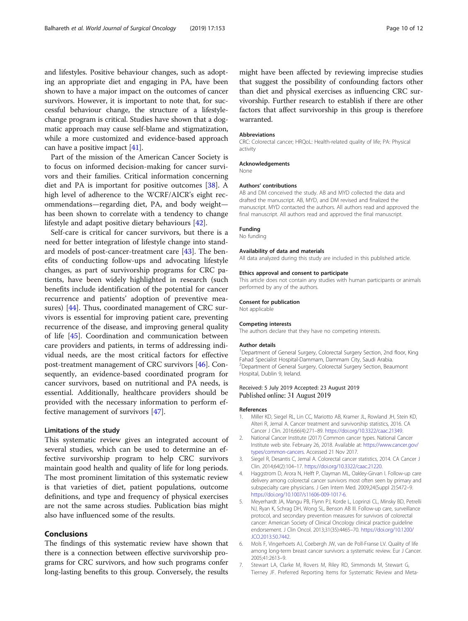<span id="page-9-0"></span>and lifestyles. Positive behaviour changes, such as adopting an appropriate diet and engaging in PA, have been shown to have a major impact on the outcomes of cancer survivors. However, it is important to note that, for successful behaviour change, the structure of a lifestylechange program is critical. Studies have shown that a dogmatic approach may cause self-blame and stigmatization, while a more customized and evidence-based approach can have a positive impact [\[41](#page-10-0)].

Part of the mission of the American Cancer Society is to focus on informed decision-making for cancer survivors and their families. Critical information concerning diet and PA is important for positive outcomes [\[38](#page-10-0)]. A high level of adherence to the WCRF/AICR's eight recommendations—regarding diet, PA, and body weight has been shown to correlate with a tendency to change lifestyle and adapt positive dietary behaviours [[42\]](#page-10-0).

Self-care is critical for cancer survivors, but there is a need for better integration of lifestyle change into standard models of post-cancer-treatment care [\[43](#page-11-0)]. The benefits of conducting follow-ups and advocating lifestyle changes, as part of survivorship programs for CRC patients, have been widely highlighted in research (such benefits include identification of the potential for cancer recurrence and patients' adoption of preventive measures) [\[44](#page-11-0)]. Thus, coordinated management of CRC survivors is essential for improving patient care, preventing recurrence of the disease, and improving general quality of life [\[45](#page-11-0)]. Coordination and communication between care providers and patients, in terms of addressing individual needs, are the most critical factors for effective post-treatment management of CRC survivors [[46\]](#page-11-0). Consequently, an evidence-based coordinated program for cancer survivors, based on nutritional and PA needs, is essential. Additionally, healthcare providers should be provided with the necessary information to perform effective management of survivors [\[47](#page-11-0)].

### Limitations of the study

This systematic review gives an integrated account of several studies, which can be used to determine an effective survivorship program to help CRC survivors maintain good health and quality of life for long periods. The most prominent limitation of this systematic review is that varieties of diet, patient populations, outcome definitions, and type and frequency of physical exercises are not the same across studies. Publication bias might also have influenced some of the results.

# Conclusions

The findings of this systematic review have shown that there is a connection between effective survivorship programs for CRC survivors, and how such programs confer long-lasting benefits to this group. Conversely, the results might have been affected by reviewing imprecise studies that suggest the possibility of confounding factors other than diet and physical exercises as influencing CRC survivorship. Further research to establish if there are other factors that affect survivorship in this group is therefore warranted.

#### Abbreviations

CRC: Colorectal cancer; HRQoL: Health-related quality of life; PA: Physical activity

#### Acknowledgements

None

#### Authors' contributions

AB and DM conceived the study. AB and MYD collected the data and drafted the manuscript. AB, MYD, and DM revised and finalized the manuscript. MYD contacted the authors. All authors read and approved the final manuscript. All authors read and approved the final manuscript.

#### Funding

No funding

#### Availability of data and materials

All data analyzed during this study are included in this published article.

#### Ethics approval and consent to participate

This article does not contain any studies with human participants or animals performed by any of the authors.

#### Consent for publication

Not applicable

#### Competing interests

The authors declare that they have no competing interests.

#### Author details

<sup>1</sup>Department of General Surgery, Colorectal Surgery Section, 2nd floor, King Fahad Specialist Hospital-Dammam, Dammam City, Saudi Arabia. 2 Department of General Surgery, Colorectal Surgery Section, Beaumont Hospital, Dublin 9, Ireland.

#### Received: 5 July 2019 Accepted: 23 August 2019 Published online: 31 August 2019

#### References

- 1. Miller KD, Siegel RL, Lin CC, Mariotto AB, Kramer JL, Rowland JH, Stein KD, Alteri R, Jemal A. Cancer treatment and survivorship statistics, 2016. CA Cancer J Clin. 2016;66(4):271–89. <https://doi.org/10.3322/caac.21349>.
- 2. National Cancer Institute (2017) Common cancer types. National Cancer Institute web site. February 26, 2018. Available at: [https://www.cancer.gov/](https://www.cancer.gov/types/common-cancers) [types/common-cancers.](https://www.cancer.gov/types/common-cancers) Accessed 21 Nov 2017.
- 3. Siegel R, Desantis C, Jemal A. Colorectal cancer statistics, 2014. CA Cancer J Clin. 2014;64(2):104–17. [https://doi.org/10.3322/caac.21220.](https://doi.org/10.3322/caac.21220)
- 4. Haggstrom D, Arora N, Helft P, Clayman ML, Oakley-Girvan I. Follow-up care delivery among colorectal cancer survivors most often seen by primary and subspecialty care physicians. J Gen Intern Med. 2009;24(Suppl 2):S472–9. <https://doi.org/10.1007/s11606-009-1017-6>.
- 5. Meyerhardt JA, Mangu PB, Flynn PJ, Korde L, Loprinzi CL, Minsky BD, Petrelli NJ, Ryan K, Schrag DH, Wong SL, Benson AB III. Follow-up care, surveillance protocol, and secondary prevention measures for survivors of colorectal cancer: American Society of Clinical Oncology clinical practice guideline endorsement. J Clin Oncol. 2013;31(35):4465–70. [https://doi.org/10.1200/](https://doi.org/10.1200/JCO.2013.50.7442) [JCO.2013.50.7442.](https://doi.org/10.1200/JCO.2013.50.7442)
- 6. Mols F, Vingerhoets AJ, Coebergh JW, van de Poll-Franse LV. Quality of life among long-term breast cancer survivors: a systematic review. Eur J Cancer. 2005;41:2613–9.
- 7. Stewart LA, Clarke M, Rovers M, Riley RD, Simmonds M, Stewart G, Tierney JF. Preferred Reporting Items for Systematic Review and Meta-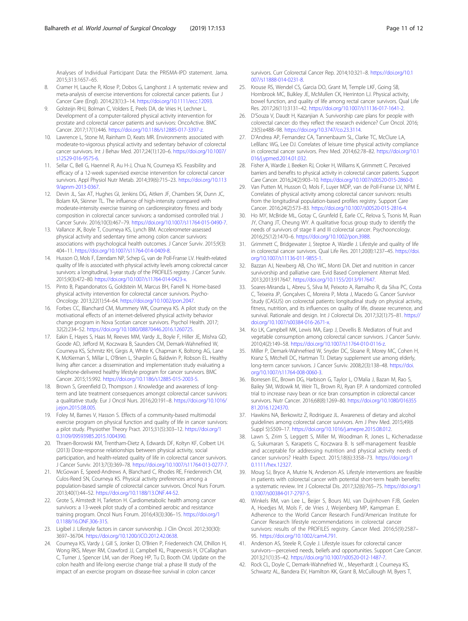<span id="page-10-0"></span>Analyses of Individual Participant Data: the PRISMA-IPD statement. Jama. 2015;313:1657–65.

- 8. Cramer H, Lauche R, Klose P, Dobos G, Langhorst J. A systematic review and meta-analysis of exercise interventions for colorectal cancer patients. Eur J Cancer Care (Engl). 2014;23(1):3–14. [https://doi.org/10.1111/ecc.12093.](https://doi.org/10.1111/ecc.12093)
- 9. Golsteijn RHJ, Bolman C, Volders E, Peels DA, de Vries H, Lechner L. Development of a computer-tailored physical activity intervention for prostate and colorectal cancer patients and survivors: OncoActive. BMC Cancer. 2017;17(1):446. <https://doi.org/10.1186/s12885-017-3397-z.>
- 10. Lawrence L, Stone M, Rainham D, Keats MR. Environments associated with moderate-to-vigorous physical activity and sedentary behavior of colorectal cancer survivors. Int J Behav Med. 2017;24(1):120–6. [https://doi.org/10.1007/](https://doi.org/10.1007/s12529-016-9575-6) [s12529-016-9575-6.](https://doi.org/10.1007/s12529-016-9575-6)
- 11. Sellar C, Bell G, Haennel R, Au H-J, Chua N, Courneya KS. Feasibility and efficacy of a 12-week supervised exercise intervention for colorectal cancer survivors. Appl Physiol Nutr Metab. 2014;39(6):715–23. [https://doi.org/10.113](https://doi.org/10.1139/apnm-2013-0367) [9/apnm-2013-0367.](https://doi.org/10.1139/apnm-2013-0367)
- 12. Devin JL, Sax AT, Hughes GI, Jenkins DG, Aitken JF, Chambers SK, Dunn JC, Bolam KA, Skinner TL. The influence of high-intensity compared with moderate-intensity exercise training on cardiorespiratory fitness and body composition in colorectal cancer survivors: a randomised controlled trial. J Cancer Surviv. 2016;10(3):467–79. <https://doi.org/10.1007/s11764-015-0490-7>.
- 13. Vallance JK, Boyle T, Courneya KS, Lynch BM. Accelerometer-assessed physical activity and sedentary time among colon cancer survivors: associations with psychological health outcomes. J Cancer Surviv. 2015;9(3): 404–11. <https://doi.org/10.1007/s11764-014-0409-8>.
- 14. Husson O, Mols F, Ezendam NP, Schep G, van de Poll-Franse LV. Health-related quality of life is associated with physical activity levels among colorectal cancer survivors: a longitudinal, 3-year study of the PROFILES registry. J Cancer Surviv. 2015;9(3):472–80. <https://doi.org/10.1007/s11764-014-0423-x.>
- 15. Pinto B, Papandonatos G, Goldstein M, Marcus BH, Farrell N. Home-based physical activity intervention for colorectal cancer survivors. Psycho-Oncology. 2013;22(1):54–64. [https://doi.org/10.1002/pon.2047.](https://doi.org/10.1002/pon.2047)
- 16. Forbes CC, Blanchard CM, Mummery WK, Courneya KS. A pilot study on the motivational effects of an internet-delivered physical activity behavior change program in Nova Scotian cancer survivors. Psychol Health. 2017; 32(2):234–52. <https://doi.org/10.1080/08870446.2016.1260725>.
- 17. Eakin E, Hayes S, Haas M, Reeves MM, Vardy JL, Boyle F, Hiller JE, Mishra GD, Goode AD, Jefford M, Koczwara B, Saunders CM, Demark-Wahnefried W, Courneya KS, Schmitz KH, Girgis A, White K, Chapman K, Boltong AG, Lane K, McKiernan S, Millar L, O'Brien L, Sharplin G, Baldwin P, Robson EL. Healthy living after cancer: a dissemination and implementation study evaluating a telephone-delivered healthy lifestyle program for cancer survivors. BMC Cancer. 2015;15:992. <https://doi.org/10.1186/s12885-015-2003-5>.
- 18. Brown S, Greenfield D, Thompson J. Knowledge and awareness of longterm and late treatment consequences amongst colorectal cancer survivors: a qualitative study. Eur J Oncol Nurs. 2016;20:191–8. [https://doi.org/10.1016/](https://doi.org/10.1016/j.ejon.2015.08.005) i.eion.2015.08.005.
- 19. Foley M, Barnes V, Hasson S. Effects of a community-based multimodal exercise program on physical function and quality of life in cancer survivors: a pilot study. Physiother Theory Pract. 2015;31(5):303–12. [https://doi.org/1](https://doi.org/10.3109/09593985.2015.1004390) [0.3109/09593985.2015.1004390.](https://doi.org/10.3109/09593985.2015.1004390)
- 20. Thraen-Borowski KM, Trentham-Dietz A, Edwards DF, Koltyn KF, Colbert LH. (2013) Dose-response relationships between physical activity, social participation, and health-related quality of life in colorectal cancer survivors. J Cancer Surviv. 2013;7(3):369–78. <https://doi.org/10.1007/s11764-013-0277-7>.
- 21. McGowan E, Speed-Andrews A, Blanchard C, Rhodes RE, Friedenreich CM, Culos-Reed SN, Courneya KS. Physical activity preferences among a population-based sample of colorectal cancer survivors. Oncol Nurs Forum. 2013;40(1):44–52. [https://doi.org/10.1188/13.ONF.44-52.](https://doi.org/10.1188/13.ONF.44-52)
- 22. Grote S, Almstedt H, Tarleton H. Cardiometabolic health among cancer survivors: a 13-week pilot study of a combined aerobic and resistance training program. Oncol Nurs Forum. 2016;43(3):306–15. [https://doi.org/1](https://doi.org/10.1188/16.ONF.306-315) [0.1188/16.ONF.306-315.](https://doi.org/10.1188/16.ONF.306-315)
- 23. Ligibel J. Lifestyle factors in cancer survivorship. J Clin Oncol. 2012;30(30): 3697–36704. <https://doi.org/10.1200/JCO.2012.42.0638>.
- 24. Courneya KS, Vardy J, Gill S, Jonker D, O'Brien P, Friedenreich CM, Dhillon H, Wong RKS, Meyer RM, Crawford JJ, Campbell KL, Prapevessis H, O'Callaghan C, Turner J, Spencer LM, van der Ploeg HP, Tu D, Booth CM. Update on the colon health and life-long exercise change trial: a phase III study of the impact of an exercise program on disease-free survival in colon cancer

survivors. Curr Colorectal Cancer Rep. 2014;10:321–8. [https://doi.org/10.1](https://doi.org/10.1007/s11888-014-0231-8) [007/s11888-014-0231-8.](https://doi.org/10.1007/s11888-014-0231-8)

- 25. Krouse RS, Wendel CS, Garcia DO, Grant M, Temple LKF, Going SB, Hornbrook MC, Bulkley JE, McMullen CK, Herrinton LJ. Physical activity, bowel function, and quality of life among rectal cancer survivors. Qual Life Res. 2017;26(11):3131–42. [https://doi.org/10.1007/s11136-017-1641-2.](https://doi.org/10.1007/s11136-017-1641-2)
- 26. D'Souza V, Daudt H, Kazanjian A. Survivorship care plans for people with colorectal cancer: do they reflect the research evidence? Curr Oncol. 2016; 23(5):e488–98. <https://doi.org/10.3747/co.23.3114>.
- 27. D'Andrea AP, Fernandez CA, Tannenbaum SL, Clarke TC, McClure LA, LeBlanc WG, Lee DJ. Correlates of leisure time physical activity compliance in colorectal cancer survivors. Prev Med. 2014;62:78–82. [https://doi.org/10.1](https://doi.org/10.1016/j.ypmed.2014.01.032) [016/j.ypmed.2014.01.032](https://doi.org/10.1016/j.ypmed.2014.01.032).
- 28. Fisher A, Wardle J, Beeken RJ, Croker H, Williams K, Grimmett C. Perceived barriers and benefits to physical activity in colorectal cancer patients. Support Care Cancer. 2016;24(2):903–10. [https://doi.org/10.1007/s00520-015-2860-0.](https://doi.org/10.1007/s00520-015-2860-0)
- 29. Van Putten M, Husson O, Mols F, Luyer MDP, van de Poll-Franse LV, NPM E. Correlates of physical activity among colorectal cancer survivors: results from the longitudinal population-based profiles registry. Support Care Cancer. 2016;24(2):573–83. <https://doi.org/10.1007/s00520-015-2816-4.>
- 30. Ho MY, McBride ML, Gotay C, Grunfeld E, Earle CC, Relova S, Tsonis M, Ruan JY, Chang JT, Cheung WY. A qualitative focus group study to identify the needs of survivors of stage II and III colorectal cancer. Psychooncology. 2016;25(12):1470–6. [https://doi.org/10.1002/pon.3988.](https://doi.org/10.1002/pon.3988)
- 31. Grimmett C, Bridgewater J, Steptoe A, Wardle J. Lifestyle and quality of life in colorectal cancer survivors. Qual Life Res. 2011;20(8):1237–45. [https://doi.](https://doi.org/10.1007/s11136-011-9855-1) [org/10.1007/s11136-011-9855-1](https://doi.org/10.1007/s11136-011-9855-1).
- 32. Bazzan AJ, Newberg AB, Cho WC, Monti DA. Diet and nutrition in cancer survivorship and palliative care. Evid Based Complement Alternat Med. 2013;2013:917647. <https://doi.org/10.1155/2013/917647.>
- 33. Soares-Miranda L, Abreu S, Silva M, Peixoto A, Ramalho R, da Silva PC, Costa C, Teixeira JP, Gonçalves C, Moreira P, Mota J, Macedo G. Cancer Survivor Study (CASUS) on colorectal patients: longitudinal study on physical activity, fitness, nutrition, and its influences on quality of life, disease recurrence, and survival. Rationale and design. Int J Colorectal Dis. 2017;32(1):75–81. [https://](https://doi.org/10.1007/s00384-016-2671-x) [doi.org/10.1007/s00384-016-2671-x](https://doi.org/10.1007/s00384-016-2671-x).
- 34. Ko LK, Campbell MK, Lewis MA, Earp J, Devellis B. Mediators of fruit and vegetable consumption among colorectal cancer survivors. J Cancer Surviv. 2010;4(2):149–58. <https://doi.org/10.1007/s11764-010-0116-z>.
- 35. Miller P, Demark-Wahnefried W, Snyder DC, Sloane R, Morey MC, Cohen H, Kranz S, Mitchell DC, Hartman TJ. Dietary supplement use among elderly, long-term cancer survivors. J Cancer Surviv. 2008;2(3):138–48. [https://doi.](https://doi.org/10.1007/s11764-008-0060-3) [org/10.1007/s11764-008-0060-3](https://doi.org/10.1007/s11764-008-0060-3).
- 36. Borresen EC, Brown DG, Harbison G, Taylor L, O'Malia J, Bazan M, Rao S, Bailey SM, Wdowik M, Weir TL, Brown RJ, Ryan EP. A randomized controlled trial to increase navy bean or rice bran consumption in colorectal cancer survivors. Nutr Cancer. 2016;68(8):1269–80. [https://doi.org/10.1080/016355](https://doi.org/10.1080/01635581.2016.1224370) [81.2016.1224370](https://doi.org/10.1080/01635581.2016.1224370).
- 37. Hawkins NA, Berkowitz Z, Rodriguez JL. Awareness of dietary and alcohol guidelines among colorectal cancer survivors. Am J Prev Med. 2015;49(6 Suppl 5):S509–17. [https://doi.org/10.1016/j.amepre.2015.08.012.](https://doi.org/10.1016/j.amepre.2015.08.012)
- 38. Lawn S, Zrim S, Leggett S, Miller M, Woodman R, Jones L, Kichenadasse G, Sukumaran S, Karapetis C, Koczwara B. Is self-management feasible and acceptable for addressing nutrition and physical activity needs of cancer survivors? Health Expect. 2015;18(6):3358–73. [https://doi.org/1](https://doi.org/10.1111/hex.12327) [0.1111/hex.12327](https://doi.org/10.1111/hex.12327).
- 39. Moug SJ, Bryce A, Mutrie N, Anderson AS. Lifestyle interventions are feasible in patients with colorectal cancer with potential short-term health benefits: a systematic review. Int J Colorectal Dis. 2017;32(6):765–75. [https://doi.org/1](https://doi.org/10.1007/s00384-017-2797-5) [0.1007/s00384-017-2797-5.](https://doi.org/10.1007/s00384-017-2797-5)
- 40. Winkels RM, van Lee L, Beijer S, Bours MJ, van Duijnhoven FJB, Geelen A, Hoedjes M, Mols F, de Vries J, Weijenberg MP, Kampman E. Adherence to the World Cancer Research Fund/American Institute for Cancer Research lifestyle recommendations in colorectal cancer survivors: results of the PROFILES registry. Cancer Med. 2016;5(9):2587– 95. [https://doi.org/10.1002/cam4.791.](https://doi.org/10.1002/cam4.791)
- 41. Anderson AS, Steele R, Coyle J. Lifestyle issues for colorectal cancer survivors—perceived needs, beliefs and opportunities. Support Care Cancer. 2013;21(1):35–42. [https://doi.org/10.1007/s00520-012-1487-7.](https://doi.org/10.1007/s00520-012-1487-7)
- 42. Rock CL, Doyle C, Demark-Wahnefried W, , Meyerhardt J, Courneya KS, Schwartz AL, Bandera EV, Hamilton KK, Grant B, McCullough M, Byers T,